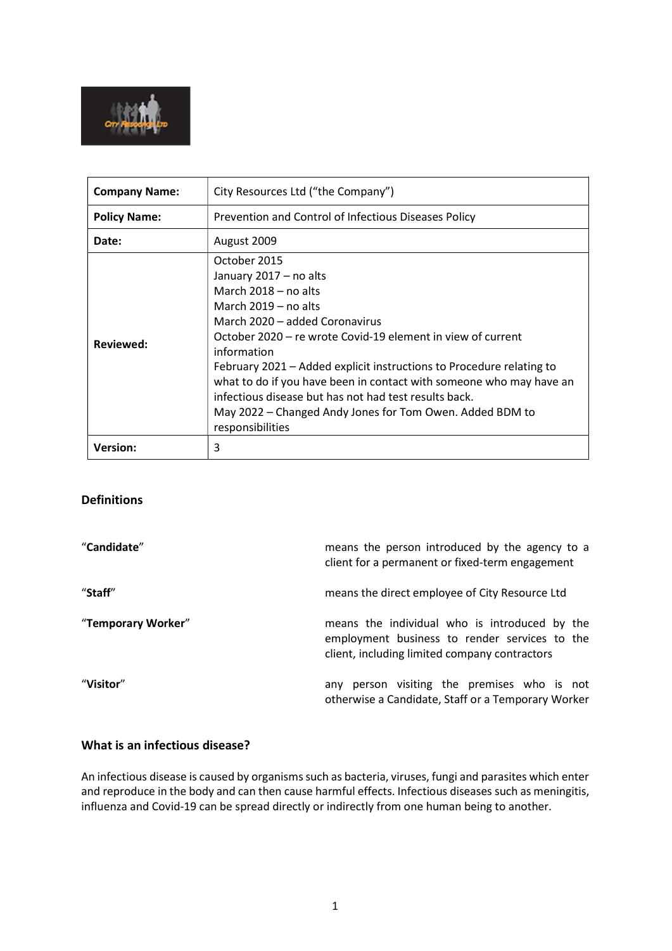

| <b>Company Name:</b> | City Resources Ltd ("the Company")                                                                                                                                                                                                                                                                                                                                                                                                                                                                 |  |
|----------------------|----------------------------------------------------------------------------------------------------------------------------------------------------------------------------------------------------------------------------------------------------------------------------------------------------------------------------------------------------------------------------------------------------------------------------------------------------------------------------------------------------|--|
| <b>Policy Name:</b>  | Prevention and Control of Infectious Diseases Policy                                                                                                                                                                                                                                                                                                                                                                                                                                               |  |
| Date:                | August 2009                                                                                                                                                                                                                                                                                                                                                                                                                                                                                        |  |
| Reviewed:            | October 2015<br>January 2017 - no alts<br>March $2018 - no$ alts<br>March $2019 - no$ alts<br>March 2020 – added Coronavirus<br>October 2020 – re wrote Covid-19 element in view of current<br>information<br>February 2021 – Added explicit instructions to Procedure relating to<br>what to do if you have been in contact with someone who may have an<br>infectious disease but has not had test results back.<br>May 2022 - Changed Andy Jones for Tom Owen. Added BDM to<br>responsibilities |  |
| <b>Version:</b>      | 3                                                                                                                                                                                                                                                                                                                                                                                                                                                                                                  |  |

# Definitions

| "Candidate"        | means the person introduced by the agency to a<br>client for a permanent or fixed-term engagement                                               |
|--------------------|-------------------------------------------------------------------------------------------------------------------------------------------------|
| "Staff"            | means the direct employee of City Resource Ltd                                                                                                  |
| "Temporary Worker" | means the individual who is introduced by the<br>employment business to render services to the<br>client, including limited company contractors |
| "Visitor"          | person visiting the premises who is not<br>anv<br>otherwise a Candidate, Staff or a Temporary Worker                                            |

### What is an infectious disease?

An infectious disease is caused by organisms such as bacteria, viruses, fungi and parasites which enter and reproduce in the body and can then cause harmful effects. Infectious diseases such as meningitis, influenza and Covid-19 can be spread directly or indirectly from one human being to another.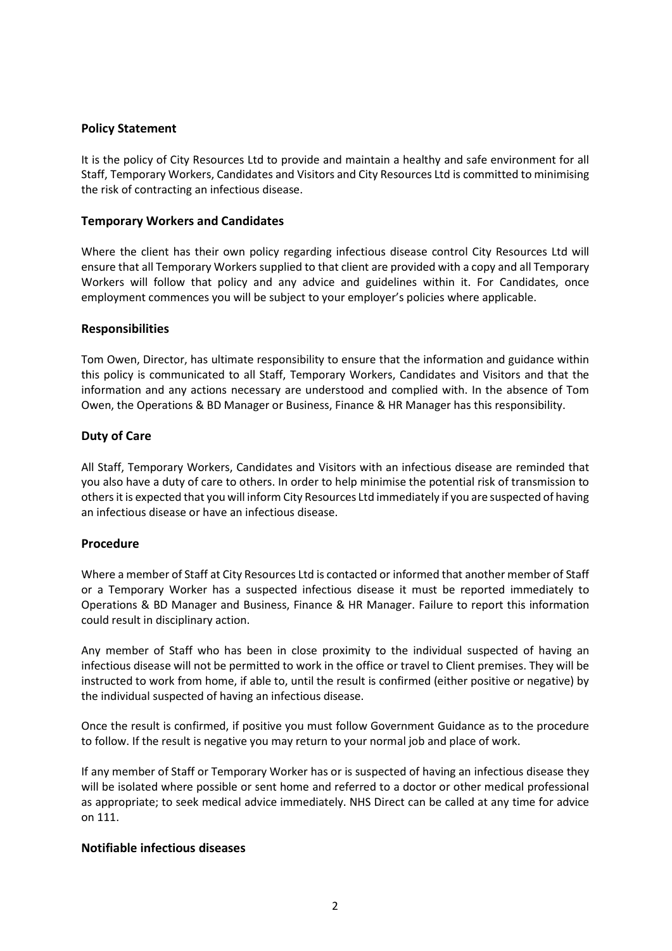# Policy Statement

It is the policy of City Resources Ltd to provide and maintain a healthy and safe environment for all Staff, Temporary Workers, Candidates and Visitors and City Resources Ltd is committed to minimising the risk of contracting an infectious disease.

### Temporary Workers and Candidates

Where the client has their own policy regarding infectious disease control City Resources Ltd will ensure that all Temporary Workers supplied to that client are provided with a copy and all Temporary Workers will follow that policy and any advice and guidelines within it. For Candidates, once employment commences you will be subject to your employer's policies where applicable.

# Responsibilities

Tom Owen, Director, has ultimate responsibility to ensure that the information and guidance within this policy is communicated to all Staff, Temporary Workers, Candidates and Visitors and that the information and any actions necessary are understood and complied with. In the absence of Tom Owen, the Operations & BD Manager or Business, Finance & HR Manager has this responsibility.

# Duty of Care

All Staff, Temporary Workers, Candidates and Visitors with an infectious disease are reminded that you also have a duty of care to others. In order to help minimise the potential risk of transmission to others it is expected that you will inform City Resources Ltd immediately if you are suspected of having an infectious disease or have an infectious disease.

#### Procedure

Where a member of Staff at City Resources Ltd is contacted or informed that another member of Staff or a Temporary Worker has a suspected infectious disease it must be reported immediately to Operations & BD Manager and Business, Finance & HR Manager. Failure to report this information could result in disciplinary action.

Any member of Staff who has been in close proximity to the individual suspected of having an infectious disease will not be permitted to work in the office or travel to Client premises. They will be instructed to work from home, if able to, until the result is confirmed (either positive or negative) by the individual suspected of having an infectious disease.

Once the result is confirmed, if positive you must follow Government Guidance as to the procedure to follow. If the result is negative you may return to your normal job and place of work.

If any member of Staff or Temporary Worker has or is suspected of having an infectious disease they will be isolated where possible or sent home and referred to a doctor or other medical professional as appropriate; to seek medical advice immediately. NHS Direct can be called at any time for advice on 111.

# Notifiable infectious diseases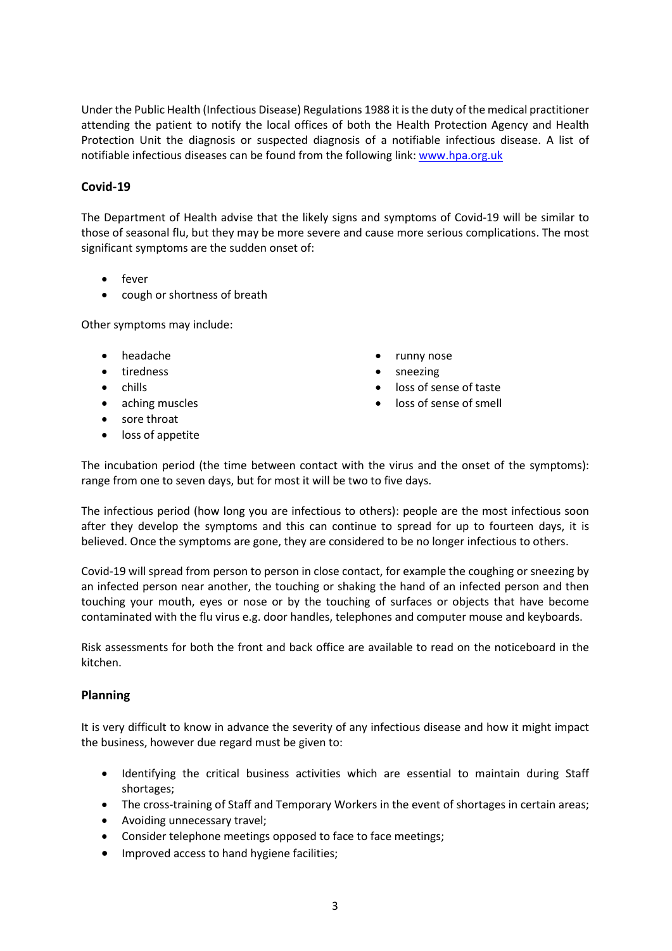Under the Public Health (Infectious Disease) Regulations 1988 it is the duty of the medical practitioner attending the patient to notify the local offices of both the Health Protection Agency and Health Protection Unit the diagnosis or suspected diagnosis of a notifiable infectious disease. A list of notifiable infectious diseases can be found from the following link: www.hpa.org.uk

# Covid-19

The Department of Health advise that the likely signs and symptoms of Covid-19 will be similar to those of seasonal flu, but they may be more severe and cause more serious complications. The most significant symptoms are the sudden onset of:

- fever
- cough or shortness of breath

Other symptoms may include:

- headache
- tiredness
- chills
- aching muscles
- sore throat
- loss of appetite
- runny nose
- sneezing
- loss of sense of taste
- loss of sense of smell

The incubation period (the time between contact with the virus and the onset of the symptoms): range from one to seven days, but for most it will be two to five days.

The infectious period (how long you are infectious to others): people are the most infectious soon after they develop the symptoms and this can continue to spread for up to fourteen days, it is believed. Once the symptoms are gone, they are considered to be no longer infectious to others.

Covid-19 will spread from person to person in close contact, for example the coughing or sneezing by an infected person near another, the touching or shaking the hand of an infected person and then touching your mouth, eyes or nose or by the touching of surfaces or objects that have become contaminated with the flu virus e.g. door handles, telephones and computer mouse and keyboards.

Risk assessments for both the front and back office are available to read on the noticeboard in the kitchen.

# Planning

It is very difficult to know in advance the severity of any infectious disease and how it might impact the business, however due regard must be given to:

- Identifying the critical business activities which are essential to maintain during Staff shortages;
- The cross-training of Staff and Temporary Workers in the event of shortages in certain areas;
- Avoiding unnecessary travel;
- Consider telephone meetings opposed to face to face meetings;
- Improved access to hand hygiene facilities;